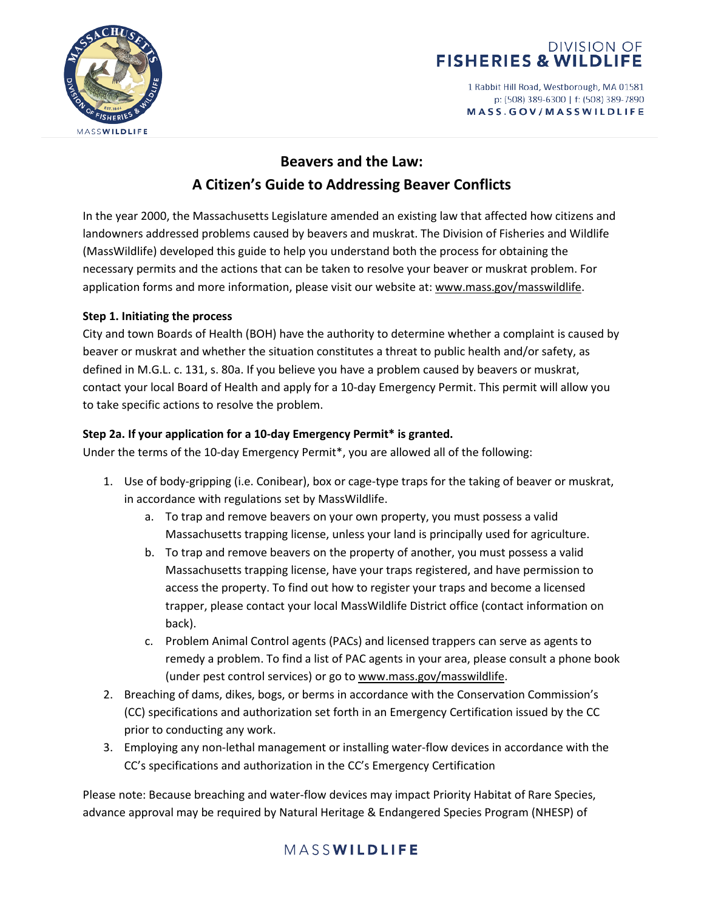

1 Rabbit Hill Road, Westborough, MA 01581 p: (508) 389-6300 | f: (508) 389-7890 MASS.GOV/MASSWILDLIFE



# **Beavers and the Law: A Citizen's Guide to Addressing Beaver Conflicts**

In the year 2000, the Massachusetts Legislature amended an existing law that affected how citizens and landowners addressed problems caused by beavers and muskrat. The Division of Fisheries and Wildlife (MassWildlife) developed this guide to help you understand both the process for obtaining the necessary permits and the actions that can be taken to resolve your beaver or muskrat problem. For application forms and more information, please visit our website at[: www.mass.gov/masswildlife.](http://www.mass.gov/masswildlife)

#### **Step 1. Initiating the process**

City and town Boards of Health (BOH) have the authority to determine whether a complaint is caused by beaver or muskrat and whether the situation constitutes a threat to public health and/or safety, as defined in M.G.L. c. 131, s. 80a. If you believe you have a problem caused by beavers or muskrat, contact your local Board of Health and apply for a 10-day Emergency Permit. This permit will allow you to take specific actions to resolve the problem.

#### **Step 2a. If your application for a 10-day Emergency Permit\* is granted.**

Under the terms of the 10-day Emergency Permit\*, you are allowed all of the following:

- 1. Use of body-gripping (i.e. Conibear), box or cage-type traps for the taking of beaver or muskrat, in accordance with regulations set by MassWildlife.
	- a. To trap and remove beavers on your own property, you must possess a valid Massachusetts trapping license, unless your land is principally used for agriculture.
	- b. To trap and remove beavers on the property of another, you must possess a valid Massachusetts trapping license, have your traps registered, and have permission to access the property. To find out how to register your traps and become a licensed trapper, please contact your local MassWildlife District office (contact information on back).
	- c. Problem Animal Control agents (PACs) and licensed trappers can serve as agents to remedy a problem. To find a list of PAC agents in your area, please consult a phone book (under pest control services) or go t[o www.mass.gov/masswildlife.](http://www.mass.gov/masswildlife)
- 2. Breaching of dams, dikes, bogs, or berms in accordance with the Conservation Commission's (CC) specifications and authorization set forth in an Emergency Certification issued by the CC prior to conducting any work.
- 3. Employing any non-lethal management or installing water-flow devices in accordance with the CC's specifications and authorization in the CC's Emergency Certification

Please note: Because breaching and water-flow devices may impact Priority Habitat of Rare Species, advance approval may be required by Natural Heritage & Endangered Species Program (NHESP) of

## MASSWILDLIFE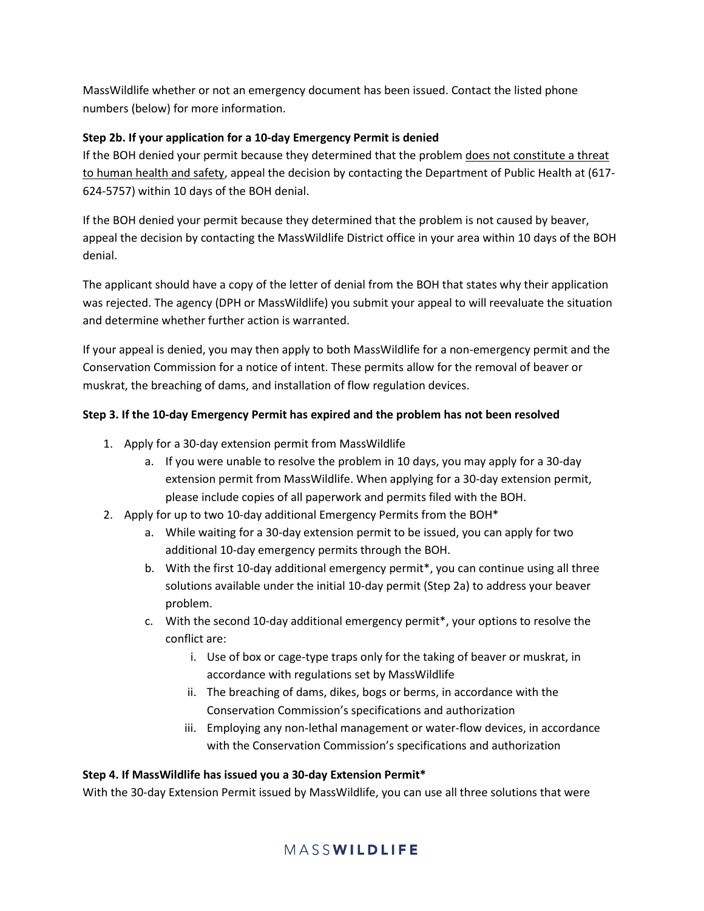MassWildlife whether or not an emergency document has been issued. Contact the listed phone numbers (below) for more information.

### **Step 2b. If your application for a 10-day Emergency Permit is denied**

If the BOH denied your permit because they determined that the problem does not constitute a threat to human health and safety, appeal the decision by contacting the Department of Public Health at (617- 624-5757) within 10 days of the BOH denial.

If the BOH denied your permit because they determined that the problem is not caused by beaver, appeal the decision by contacting the MassWildlife District office in your area within 10 days of the BOH denial.

The applicant should have a copy of the letter of denial from the BOH that states why their application was rejected. The agency (DPH or MassWildlife) you submit your appeal to will reevaluate the situation and determine whether further action is warranted.

If your appeal is denied, you may then apply to both MassWildlife for a non-emergency permit and the Conservation Commission for a notice of intent. These permits allow for the removal of beaver or muskrat, the breaching of dams, and installation of flow regulation devices.

### **Step 3. If the 10-day Emergency Permit has expired and the problem has not been resolved**

- 1. Apply for a 30-day extension permit from MassWildlife
	- a. If you were unable to resolve the problem in 10 days, you may apply for a 30-day extension permit from MassWildlife. When applying for a 30-day extension permit, please include copies of all paperwork and permits filed with the BOH.
- 2. Apply for up to two 10-day additional Emergency Permits from the BOH\*
	- a. While waiting for a 30-day extension permit to be issued, you can apply for two additional 10-day emergency permits through the BOH.
	- b. With the first 10-day additional emergency permit\*, you can continue using all three solutions available under the initial 10-day permit (Step 2a) to address your beaver problem.
	- c. With the second 10-day additional emergency permit\*, your options to resolve the conflict are:
		- i. Use of box or cage-type traps only for the taking of beaver or muskrat, in accordance with regulations set by MassWildlife
		- ii. The breaching of dams, dikes, bogs or berms, in accordance with the Conservation Commission's specifications and authorization
		- iii. Employing any non-lethal management or water-flow devices, in accordance with the Conservation Commission's specifications and authorization

#### **Step 4. If MassWildlife has issued you a 30-day Extension Permit\***

With the 30-day Extension Permit issued by MassWildlife, you can use all three solutions that were

## MASSWILDLIFE